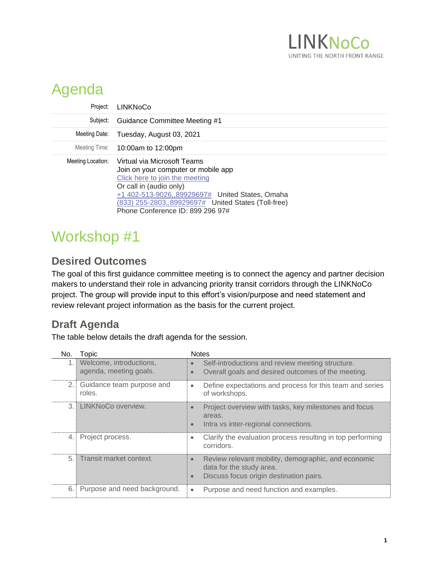

## Agenda

| Project:          | <b>LINKNoCo</b>                                                                                                                                                                                                                                                               |
|-------------------|-------------------------------------------------------------------------------------------------------------------------------------------------------------------------------------------------------------------------------------------------------------------------------|
| Subject:          | Guidance Committee Meeting #1                                                                                                                                                                                                                                                 |
| Meeting Date:     | Tuesday, August 03, 2021                                                                                                                                                                                                                                                      |
|                   | Meeting Time: 10:00am to 12:00pm                                                                                                                                                                                                                                              |
| Meeting Location: | Virtual via Microsoft Teams<br>Join on your computer or mobile app<br>Click here to join the meeting<br>Or call in (audio only)<br>+1 402-513-9026, 89929697# United States, Omaha<br>(833) 255-2803, 89929697# United States (Toll-free)<br>Phone Conference ID: 899 296 97# |

## Workshop #1

## **Desired Outcomes**

The goal of this first guidance committee meeting is to connect the agency and partner decision makers to understand their role in advancing priority transit corridors through the LINKNoCo project. The group will provide input to this effort's vision/purpose and need statement and review relevant project information as the basis for the current project.

## **Draft Agenda**

The table below details the draft agenda for the session.

| No.  | Topic                                             | <b>Notes</b>                                                                                                                            |
|------|---------------------------------------------------|-----------------------------------------------------------------------------------------------------------------------------------------|
| 1.1  | Welcome, introductions,<br>agenda, meeting goals. | Self-introductions and review meeting structure.<br>Overall goals and desired outcomes of the meeting.                                  |
| 2.1  | Guidance team purpose and<br>roles.               | Define expectations and process for this team and series<br>$\bullet$<br>of workshops.                                                  |
|      | 3. LINKNoCo overview.                             | Project overview with tasks, key milestones and focus<br>$\bullet$<br>areas.<br>Intra vs inter-regional connections.<br>$\bullet$       |
| 4. ! | Project process.                                  | Clarify the evaluation process resulting in top performing<br>corridors.                                                                |
|      | 5. Transit market context.                        | Review relevant mobility, demographic, and economic<br>$\bullet$<br>data for the study area.<br>Discuss focus origin destination pairs. |
| 6. I | Purpose and need background.                      | Purpose and need function and examples.                                                                                                 |